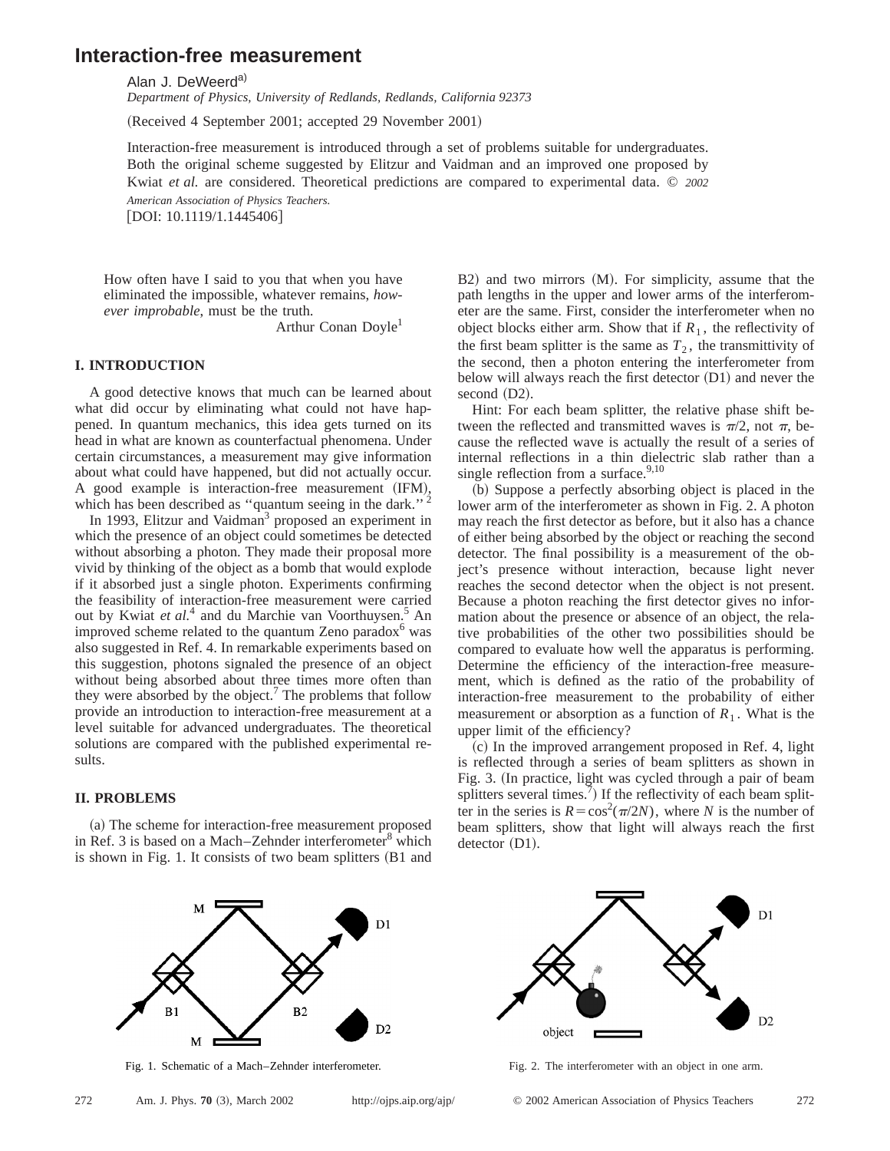# **Interaction-free measurement**

Alan J. DeWeerd<sup>a)</sup>

*Department of Physics, University of Redlands, Redlands, California 92373*

(Received 4 September 2001; accepted 29 November 2001)

Interaction-free measurement is introduced through a set of problems suitable for undergraduates. Both the original scheme suggested by Elitzur and Vaidman and an improved one proposed by Kwiat *et al.* are considered. Theoretical predictions are compared to experimental data. © *2002 American Association of Physics Teachers.*

[DOI: 10.1119/1.1445406]

How often have I said to you that when you have eliminated the impossible, whatever remains, *however improbable*, must be the truth.

Arthur Conan Doyle<sup>1</sup>

## **I. INTRODUCTION**

A good detective knows that much can be learned about what did occur by eliminating what could not have happened. In quantum mechanics, this idea gets turned on its head in what are known as counterfactual phenomena. Under certain circumstances, a measurement may give information about what could have happened, but did not actually occur. A good example is interaction-free measurement (IFM), which has been described as "quantum seeing in the dark."<sup>2</sup>

In 1993, Elitzur and Vaidman<sup>3</sup> proposed an experiment in which the presence of an object could sometimes be detected without absorbing a photon. They made their proposal more vivid by thinking of the object as a bomb that would explode if it absorbed just a single photon. Experiments confirming the feasibility of interaction-free measurement were carried out by Kwiat *et al.*<sup>4</sup> and du Marchie van Voorthuysen.5 An improved scheme related to the quantum Zeno paradox $6$  was also suggested in Ref. 4. In remarkable experiments based on this suggestion, photons signaled the presence of an object without being absorbed about three times more often than they were absorbed by the object.<sup>7</sup> The problems that follow provide an introduction to interaction-free measurement at a level suitable for advanced undergraduates. The theoretical solutions are compared with the published experimental results.

# **II. PROBLEMS**

(a) The scheme for interaction-free measurement proposed in Ref. 3 is based on a Mach–Zehnder interferometer $8$  which is shown in Fig. 1. It consists of two beam splitters  $(B1$  and  $B2$ ) and two mirrors  $(M)$ . For simplicity, assume that the path lengths in the upper and lower arms of the interferometer are the same. First, consider the interferometer when no object blocks either arm. Show that if  $R_1$ , the reflectivity of the first beam splitter is the same as  $T_2$ , the transmittivity of the second, then a photon entering the interferometer from below will always reach the first detector  $(D1)$  and never the second  $(D2)$ .

Hint: For each beam splitter, the relative phase shift between the reflected and transmitted waves is  $\pi/2$ , not  $\pi$ , because the reflected wave is actually the result of a series of internal reflections in a thin dielectric slab rather than a single reflection from a surface. $9,10$ 

(b) Suppose a perfectly absorbing object is placed in the lower arm of the interferometer as shown in Fig. 2. A photon may reach the first detector as before, but it also has a chance of either being absorbed by the object or reaching the second detector. The final possibility is a measurement of the object's presence without interaction, because light never reaches the second detector when the object is not present. Because a photon reaching the first detector gives no information about the presence or absence of an object, the relative probabilities of the other two possibilities should be compared to evaluate how well the apparatus is performing. Determine the efficiency of the interaction-free measurement, which is defined as the ratio of the probability of interaction-free measurement to the probability of either measurement or absorption as a function of  $R_1$ . What is the upper limit of the efficiency?

(c) In the improved arrangement proposed in Ref. 4, light is reflected through a series of beam splitters as shown in Fig. 3. (In practice, light was cycled through a pair of beam splitters several times.<sup>7</sup>) If the reflectivity of each beam splitter in the series is  $R = \cos^2(\pi/2N)$ , where *N* is the number of beam splitters, show that light will always reach the first  $detector (D1).$ 





Fig. 1. Schematic of a Mach–Zehnder interferometer. Fig. 2. The interferometer with an object in one arm.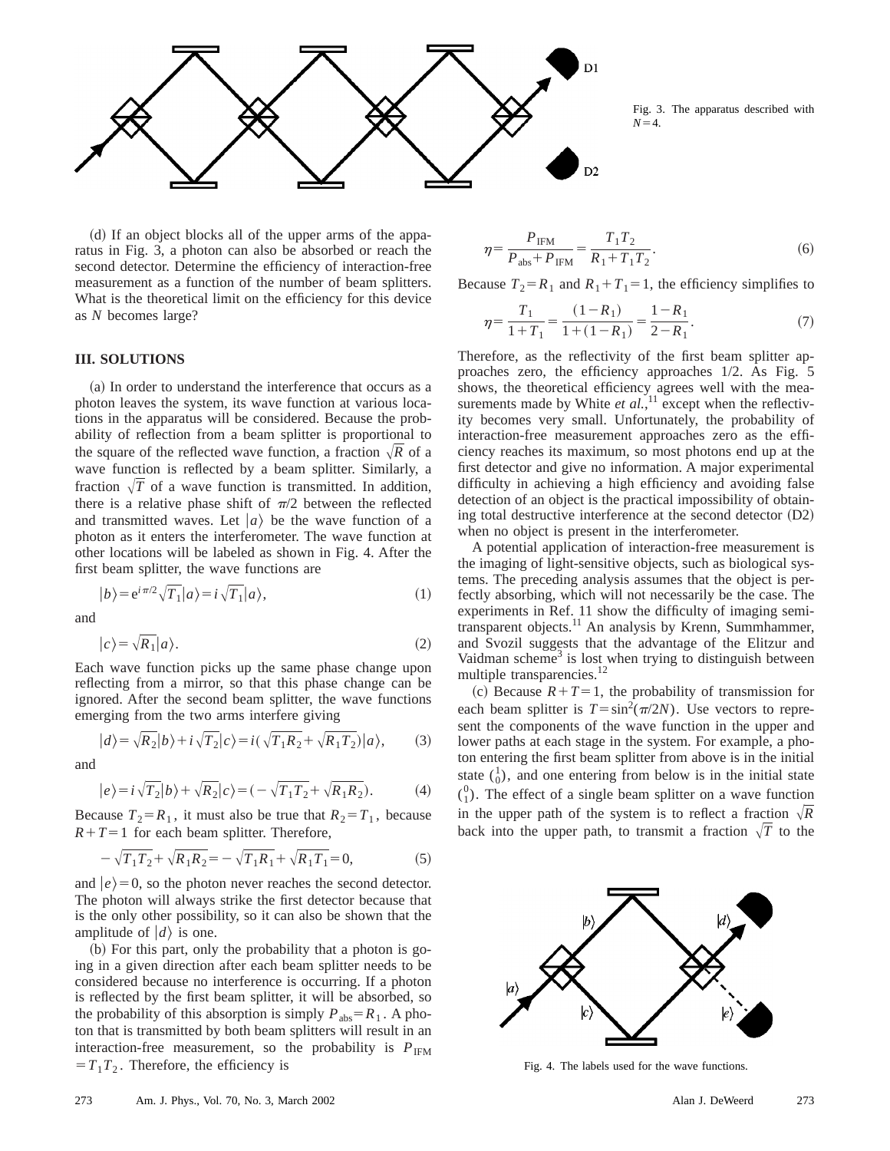

Fig. 3. The apparatus described with  $N=4.$ 

(d) If an object blocks all of the upper arms of the apparatus in Fig. 3, a photon can also be absorbed or reach the second detector. Determine the efficiency of interaction-free measurement as a function of the number of beam splitters. What is the theoretical limit on the efficiency for this device as *N* becomes large?

### **III. SOLUTIONS**

(a) In order to understand the interference that occurs as a photon leaves the system, its wave function at various locations in the apparatus will be considered. Because the probability of reflection from a beam splitter is proportional to the square of the reflected wave function, a fraction  $\sqrt{R}$  of a wave function is reflected by a beam splitter. Similarly, a fraction  $\sqrt{T}$  of a wave function is transmitted. In addition, there is a relative phase shift of  $\pi/2$  between the reflected and transmitted waves. Let  $|a\rangle$  be the wave function of a photon as it enters the interferometer. The wave function at other locations will be labeled as shown in Fig. 4. After the first beam splitter, the wave functions are

$$
|b\rangle = e^{i\pi/2}\sqrt{T_1}|a\rangle = i\sqrt{T_1}|a\rangle,
$$
 (1)

and

$$
|c\rangle = \sqrt{R_1}|a\rangle. \tag{2}
$$

Each wave function picks up the same phase change upon reflecting from a mirror, so that this phase change can be ignored. After the second beam splitter, the wave functions emerging from the two arms interfere giving

$$
|d\rangle = \sqrt{R_2}|b\rangle + i\sqrt{T_2}|c\rangle = i(\sqrt{T_1R_2} + \sqrt{R_1T_2})|a\rangle,
$$
 (3)

and

$$
|e\rangle = i\sqrt{T_2}|b\rangle + \sqrt{R_2}|c\rangle = (-\sqrt{T_1T_2} + \sqrt{R_1R_2}).
$$
 (4)

Because  $T_2 = R_1$ , it must also be true that  $R_2 = T_1$ , because  $R+T=1$  for each beam splitter. Therefore,

$$
-\sqrt{T_1 T_2} + \sqrt{R_1 R_2} = -\sqrt{T_1 R_1} + \sqrt{R_1 T_1} = 0,
$$
\n(5)

and  $|e\rangle$ =0, so the photon never reaches the second detector. The photon will always strike the first detector because that is the only other possibility, so it can also be shown that the amplitude of  $|d\rangle$  is one.

 $(b)$  For this part, only the probability that a photon is going in a given direction after each beam splitter needs to be considered because no interference is occurring. If a photon is reflected by the first beam splitter, it will be absorbed, so the probability of this absorption is simply  $P_{\text{abs}} = R_1$ . A photon that is transmitted by both beam splitters will result in an interaction-free measurement, so the probability is  $P_{IFM}$  $=T_1T_2$ . Therefore, the efficiency is

$$
\eta = \frac{P_{\text{IFM}}}{P_{\text{abs}} + P_{\text{IFM}}} = \frac{T_1 T_2}{R_1 + T_1 T_2}.
$$
\n(6)

Because  $T_2 = R_1$  and  $R_1 + T_1 = 1$ , the efficiency simplifies to

$$
\eta = \frac{T_1}{1 + T_1} = \frac{(1 - R_1)}{1 + (1 - R_1)} = \frac{1 - R_1}{2 - R_1}.
$$
\n(7)

Therefore, as the reflectivity of the first beam splitter approaches zero, the efficiency approaches 1/2. As Fig. 5 shows, the theoretical efficiency agrees well with the measurements made by White *et al.*,<sup>11</sup> except when the reflectivity becomes very small. Unfortunately, the probability of interaction-free measurement approaches zero as the efficiency reaches its maximum, so most photons end up at the first detector and give no information. A major experimental difficulty in achieving a high efficiency and avoiding false detection of an object is the practical impossibility of obtaining total destructive interference at the second detector  $(D2)$ when no object is present in the interferometer.

A potential application of interaction-free measurement is the imaging of light-sensitive objects, such as biological systems. The preceding analysis assumes that the object is perfectly absorbing, which will not necessarily be the case. The experiments in Ref. 11 show the difficulty of imaging semitransparent objects.<sup>11</sup> An analysis by Krenn, Summhammer, and Svozil suggests that the advantage of the Elitzur and Vaidman scheme<sup>3</sup> is lost when trying to distinguish between multiple transparencies.<sup>12</sup>

(c) Because  $R+T=1$ , the probability of transmission for each beam splitter is  $T = \sin^2(\pi/2N)$ . Use vectors to represent the components of the wave function in the upper and lower paths at each stage in the system. For example, a photon entering the first beam splitter from above is in the initial state  $\binom{1}{0}$ , and one entering from below is in the initial state  $\binom{0}{1}$ . The effect of a single beam splitter on a wave function in the upper path of the system is to reflect a fraction  $\sqrt{R}$ back into the upper path, to transmit a fraction  $\sqrt{T}$  to the



Fig. 4. The labels used for the wave functions.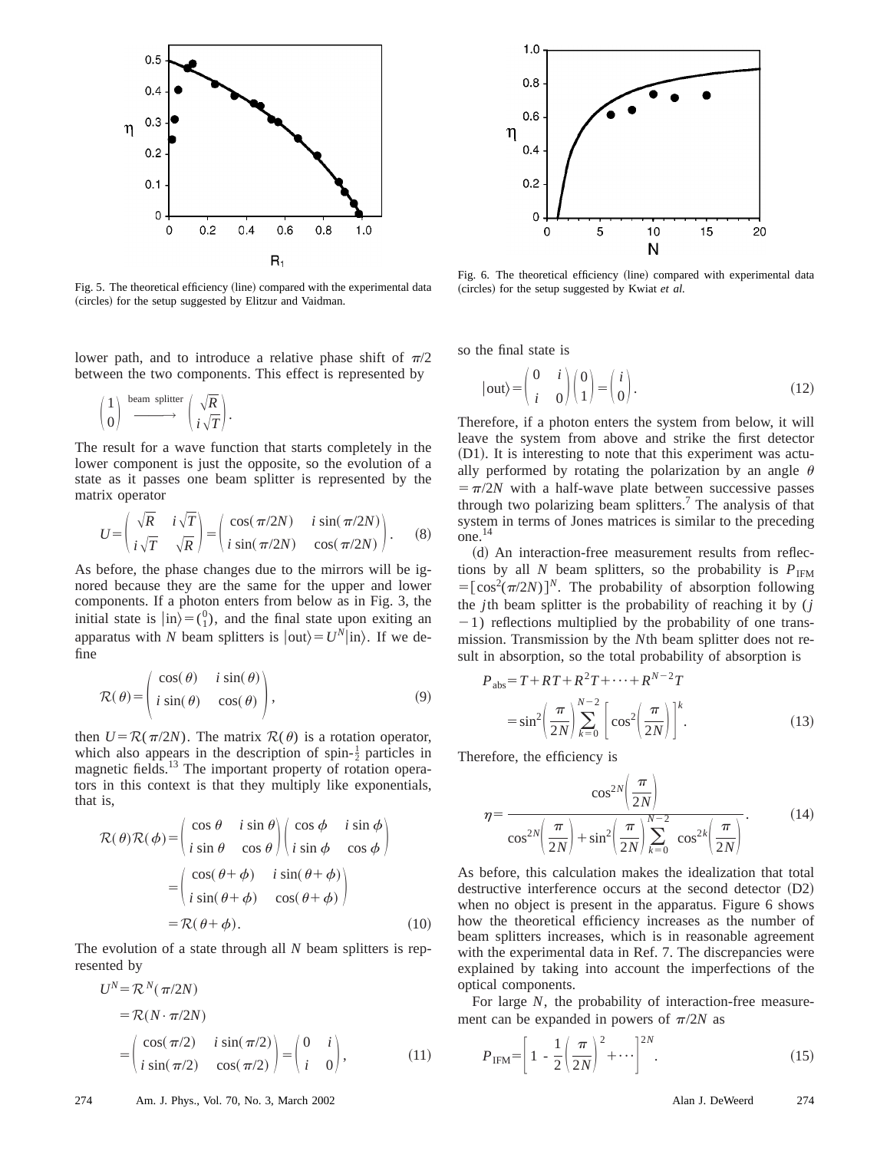

Fig. 5. The theoretical efficiency (line) compared with the experimental data (circles) for the setup suggested by Elitzur and Vaidman.

lower path, and to introduce a relative phase shift of  $\pi/2$ between the two components. This effect is represented by

$$
\begin{pmatrix} 1 \\ 0 \end{pmatrix} \xrightarrow{\text{beam splitter}} \begin{pmatrix} \sqrt{R} \\ i \sqrt{T} \end{pmatrix}.
$$

The result for a wave function that starts completely in the lower component is just the opposite, so the evolution of a state as it passes one beam splitter is represented by the matrix operator

$$
U = \begin{pmatrix} \sqrt{R} & i\sqrt{T} \\ i\sqrt{T} & \sqrt{R} \end{pmatrix} = \begin{pmatrix} \cos(\pi/2N) & i\sin(\pi/2N) \\ i\sin(\pi/2N) & \cos(\pi/2N) \end{pmatrix}.
$$
 (8)

As before, the phase changes due to the mirrors will be ignored because they are the same for the upper and lower components. If a photon enters from below as in Fig. 3, the initial state is  $|\text{in}\rangle = \binom{0}{1}$ , and the final state upon exiting an apparatus with *N* beam splitters is  $|\text{out}\rangle = U^N|\text{in}\rangle$ . If we define

$$
\mathcal{R}(\theta) = \begin{pmatrix} \cos(\theta) & i \sin(\theta) \\ i \sin(\theta) & \cos(\theta) \end{pmatrix},
$$
\n(9)

then  $U = \mathcal{R}(\pi/2N)$ . The matrix  $\mathcal{R}(\theta)$  is a rotation operator, which also appears in the description of spin- $\frac{1}{2}$  particles in magnetic fields.<sup>13</sup> The important property of rotation operators in this context is that they multiply like exponentials, that is,

$$
\mathcal{R}(\theta)\mathcal{R}(\phi) = \begin{pmatrix} \cos\theta & i\sin\theta \\ i\sin\theta & \cos\theta \end{pmatrix} \begin{pmatrix} \cos\phi & i\sin\phi \\ i\sin\phi & \cos\phi \end{pmatrix}
$$

$$
= \begin{pmatrix} \cos(\theta+\phi) & i\sin(\theta+\phi) \\ i\sin(\theta+\phi) & \cos(\theta+\phi) \end{pmatrix}
$$

$$
= \mathcal{R}(\theta+\phi). \tag{10}
$$

The evolution of a state through all *N* beam splitters is represented by

$$
U^N = \mathcal{R}^N(\pi/2N)
$$
  
=  $\mathcal{R}(N \cdot \pi/2N)$   
=  $\begin{pmatrix} \cos(\pi/2) & i \sin(\pi/2) \\ i \sin(\pi/2) & \cos(\pi/2) \end{pmatrix} = \begin{pmatrix} 0 & i \\ i & 0 \end{pmatrix}$ , (11)



Fig. 6. The theoretical efficiency (line) compared with experimental data (circles) for the setup suggested by Kwiat *et al.* 

so the final state is

$$
|\text{out}\rangle = \begin{pmatrix} 0 & i \\ i & 0 \end{pmatrix} \begin{pmatrix} 0 \\ 1 \end{pmatrix} = \begin{pmatrix} i \\ 0 \end{pmatrix}.
$$
 (12)

Therefore, if a photon enters the system from below, it will leave the system from above and strike the first detector  $(D1)$ . It is interesting to note that this experiment was actually performed by rotating the polarization by an angle  $\theta$  $\sqrt{5\pi/2}$  with a half-wave plate between successive passes through two polarizing beam splitters.7 The analysis of that system in terms of Jones matrices is similar to the preceding  $one.<sup>14</sup>$ 

(d) An interaction-free measurement results from reflections by all *N* beam splitters, so the probability is  $P_{\text{IFM}}$  $=[\cos^2(\pi/2N)]^N$ . The probability of absorption following the *j*th beam splitter is the probability of reaching it by (*j*  $-1$ ) reflections multiplied by the probability of one transmission. Transmission by the *N*th beam splitter does not result in absorption, so the total probability of absorption is

$$
P_{\text{abs}} = T + RT + R^2T + \dots + R^{N-2}T
$$

$$
= \sin^2 \left(\frac{\pi}{2N}\right) \sum_{k=0}^{N-2} \left[\cos^2 \left(\frac{\pi}{2N}\right)\right]^k.
$$
(13)

Therefore, the efficiency is

$$
\eta = \frac{\cos^{2N}\left(\frac{\pi}{2N}\right)}{\cos^{2N}\left(\frac{\pi}{2N}\right) + \sin^2\left(\frac{\pi}{2N}\right)\sum_{k=0}^{N-2} \cos^{2k}\left(\frac{\pi}{2N}\right)}.
$$
(14)

As before, this calculation makes the idealization that total destructive interference occurs at the second detector  $(D2)$ when no object is present in the apparatus. Figure 6 shows how the theoretical efficiency increases as the number of beam splitters increases, which is in reasonable agreement with the experimental data in Ref. 7. The discrepancies were explained by taking into account the imperfections of the optical components.

For large *N*, the probability of interaction-free measurement can be expanded in powers of  $\pi/2N$  as

$$
P_{\text{IFM}} = \left[1 - \frac{1}{2} \left(\frac{\pi}{2N}\right)^2 + \cdots\right]^{2N}.
$$
 (15)